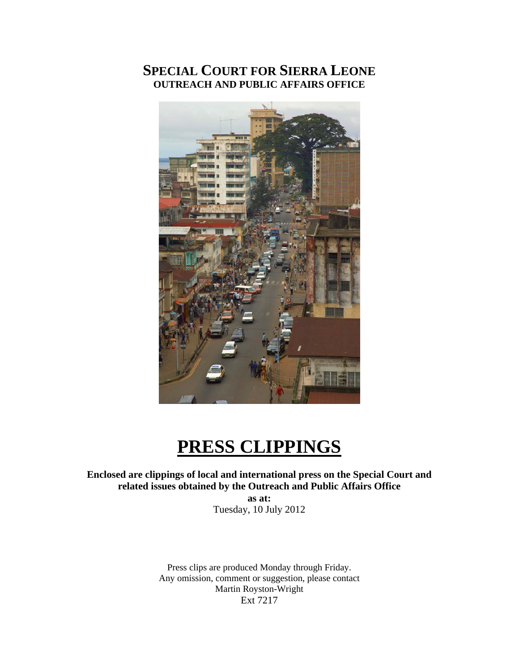## **SPECIAL COURT FOR SIERRA LEONE OUTREACH AND PUBLIC AFFAIRS OFFICE**



# **PRESS CLIPPINGS**

**Enclosed are clippings of local and international press on the Special Court and related issues obtained by the Outreach and Public Affairs Office as at:** 

Tuesday, 10 July 2012

Press clips are produced Monday through Friday. Any omission, comment or suggestion, please contact Martin Royston-Wright Ext 7217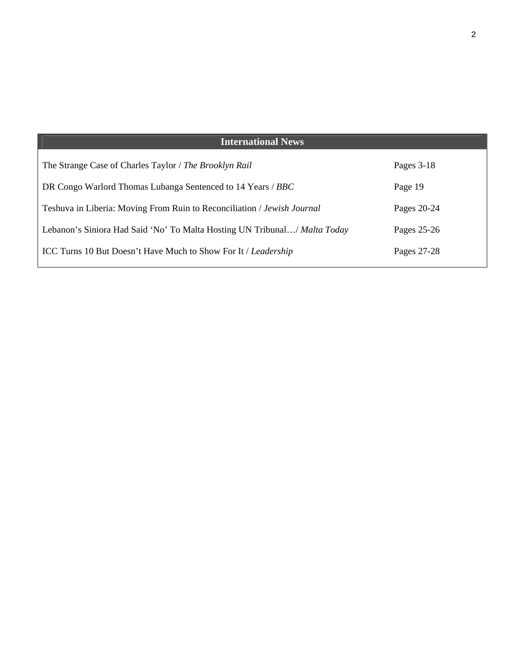| <b>International News</b>                                                 |             |
|---------------------------------------------------------------------------|-------------|
| The Strange Case of Charles Taylor / The Brooklyn Rail                    | Pages 3-18  |
| DR Congo Warlord Thomas Lubanga Sentenced to 14 Years / BBC               | Page 19     |
| Teshuva in Liberia: Moving From Ruin to Reconciliation / Jewish Journal   | Pages 20-24 |
| Lebanon's Siniora Had Said 'No' To Malta Hosting UN Tribunal/ Malta Today | Pages 25-26 |
| <b>ICC Turns 10 But Doesn't Have Much to Show For It / Leadership</b>     | Pages 27-28 |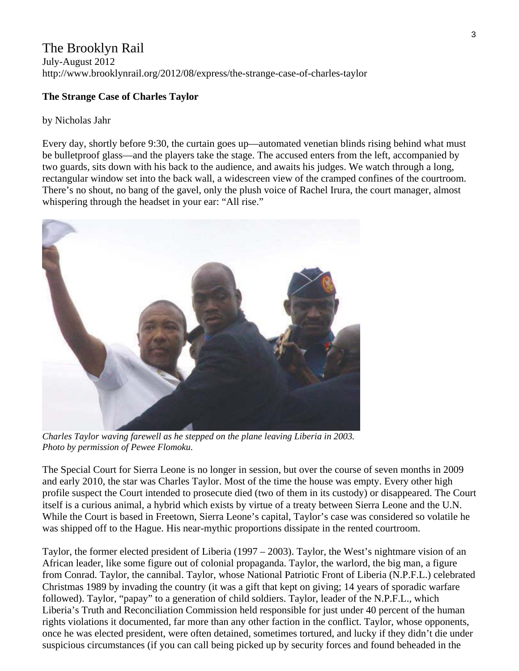## The Brooklyn Rail

July-August 2012 http://www.brooklynrail.org/2012/08/express/the-strange-case-of-charles-taylor

#### **The Strange Case of Charles Taylor**

#### by Nicholas Jahr

Every day, shortly before 9:30, the curtain goes up—automated venetian blinds rising behind what must be bulletproof glass—and the players take the stage. The accused enters from the left, accompanied by two guards, sits down with his back to the audience, and awaits his judges. We watch through a long, rectangular window set into the back wall, a widescreen view of the cramped confines of the courtroom. There's no shout, no bang of the gavel, only the plush voice of Rachel Irura, the court manager, almost whispering through the headset in your ear: "All rise."



*Charles Taylor waving farewell as he stepped on the plane leaving Liberia in 2003. Photo by permission of Pewee Flomoku.* 

The Special Court for Sierra Leone is no longer in session, but over the course of seven months in 2009 and early 2010, the star was Charles Taylor. Most of the time the house was empty. Every other high profile suspect the Court intended to prosecute died (two of them in its custody) or disappeared. The Court itself is a curious animal, a hybrid which exists by virtue of a treaty between Sierra Leone and the U.N. While the Court is based in Freetown, Sierra Leone's capital, Taylor's case was considered so volatile he was shipped off to the Hague. His near-mythic proportions dissipate in the rented courtroom.

Taylor, the former elected president of Liberia (1997 – 2003). Taylor, the West's nightmare vision of an African leader, like some figure out of colonial propaganda. Taylor, the warlord, the big man, a figure from Conrad. Taylor, the cannibal. Taylor, whose National Patriotic Front of Liberia (N.P.F.L.) celebrated Christmas 1989 by invading the country (it was a gift that kept on giving; 14 years of sporadic warfare followed). Taylor, "papay" to a generation of child soldiers. Taylor, leader of the N.P.F.L., which Liberia's Truth and Reconciliation Commission held responsible for just under 40 percent of the human rights violations it documented, far more than any other faction in the conflict. Taylor, whose opponents, once he was elected president, were often detained, sometimes tortured, and lucky if they didn't die under suspicious circumstances (if you can call being picked up by security forces and found beheaded in the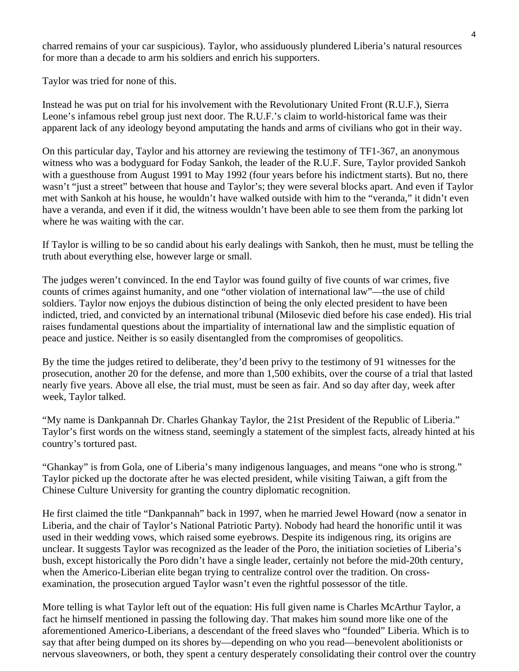charred remains of your car suspicious). Taylor, who assiduously plundered Liberia's natural resources for more than a decade to arm his soldiers and enrich his supporters.

Taylor was tried for none of this.

Instead he was put on trial for his involvement with the Revolutionary United Front (R.U.F.), Sierra Leone's infamous rebel group just next door. The R.U.F.'s claim to world-historical fame was their apparent lack of any ideology beyond amputating the hands and arms of civilians who got in their way.

On this particular day, Taylor and his attorney are reviewing the testimony of TF1-367, an anonymous witness who was a bodyguard for Foday Sankoh, the leader of the R.U.F. Sure, Taylor provided Sankoh with a guesthouse from August 1991 to May 1992 (four years before his indictment starts). But no, there wasn't "just a street" between that house and Taylor's; they were several blocks apart. And even if Taylor met with Sankoh at his house, he wouldn't have walked outside with him to the "veranda," it didn't even have a veranda, and even if it did, the witness wouldn't have been able to see them from the parking lot where he was waiting with the car.

If Taylor is willing to be so candid about his early dealings with Sankoh, then he must, must be telling the truth about everything else, however large or small.

The judges weren't convinced. In the end Taylor was found guilty of five counts of war crimes, five counts of crimes against humanity, and one "other violation of international law"—the use of child soldiers. Taylor now enjoys the dubious distinction of being the only elected president to have been indicted, tried, and convicted by an international tribunal (Milosevic died before his case ended). His trial raises fundamental questions about the impartiality of international law and the simplistic equation of peace and justice. Neither is so easily disentangled from the compromises of geopolitics.

By the time the judges retired to deliberate, they'd been privy to the testimony of 91 witnesses for the prosecution, another 20 for the defense, and more than 1,500 exhibits, over the course of a trial that lasted nearly five years. Above all else, the trial must, must be seen as fair. And so day after day, week after week, Taylor talked.

"My name is Dankpannah Dr. Charles Ghankay Taylor, the 21st President of the Republic of Liberia." Taylor's first words on the witness stand, seemingly a statement of the simplest facts, already hinted at his country's tortured past.

"Ghankay" is from Gola, one of Liberia's many indigenous languages, and means "one who is strong." Taylor picked up the doctorate after he was elected president, while visiting Taiwan, a gift from the Chinese Culture University for granting the country diplomatic recognition.

He first claimed the title "Dankpannah" back in 1997, when he married Jewel Howard (now a senator in Liberia, and the chair of Taylor's National Patriotic Party). Nobody had heard the honorific until it was used in their wedding vows, which raised some eyebrows. Despite its indigenous ring, its origins are unclear. It suggests Taylor was recognized as the leader of the Poro, the initiation societies of Liberia's bush, except historically the Poro didn't have a single leader, certainly not before the mid-20th century, when the Americo-Liberian elite began trying to centralize control over the tradition. On crossexamination, the prosecution argued Taylor wasn't even the rightful possessor of the title.

More telling is what Taylor left out of the equation: His full given name is Charles McArthur Taylor, a fact he himself mentioned in passing the following day. That makes him sound more like one of the aforementioned Americo-Liberians, a descendant of the freed slaves who "founded" Liberia. Which is to say that after being dumped on its shores by—depending on who you read—benevolent abolitionists or nervous slaveowners, or both, they spent a century desperately consolidating their control over the country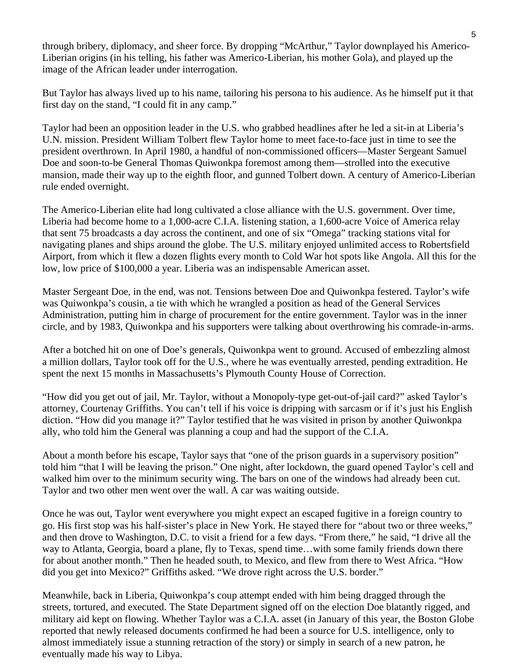through bribery, diplomacy, and sheer force. By dropping "McArthur," Taylor downplayed his Americo-Liberian origins (in his telling, his father was Americo-Liberian, his mother Gola), and played up the image of the African leader under interrogation.

But Taylor has always lived up to his name, tailoring his persona to his audience. As he himself put it that first day on the stand, "I could fit in any camp."

Taylor had been an opposition leader in the U.S. who grabbed headlines after he led a sit-in at Liberia's U.N. mission. President William Tolbert flew Taylor home to meet face-to-face just in time to see the president overthrown. In April 1980, a handful of non-commissioned officers—Master Sergeant Samuel Doe and soon-to-be General Thomas Quiwonkpa foremost among them—strolled into the executive mansion, made their way up to the eighth floor, and gunned Tolbert down. A century of Americo-Liberian rule ended overnight.

The Americo-Liberian elite had long cultivated a close alliance with the U.S. government. Over time, Liberia had become home to a 1,000-acre C.I.A. listening station, a 1,600-acre Voice of America relay that sent 75 broadcasts a day across the continent, and one of six "Omega" tracking stations vital for navigating planes and ships around the globe. The U.S. military enjoyed unlimited access to Robertsfield Airport, from which it flew a dozen flights every month to Cold War hot spots like Angola. All this for the low, low price of \$100,000 a year. Liberia was an indispensable American asset.

Master Sergeant Doe, in the end, was not. Tensions between Doe and Quiwonkpa festered. Taylor's wife was Quiwonkpa's cousin, a tie with which he wrangled a position as head of the General Services Administration, putting him in charge of procurement for the entire government. Taylor was in the inner circle, and by 1983, Quiwonkpa and his supporters were talking about overthrowing his comrade-in-arms.

After a botched hit on one of Doe's generals, Quiwonkpa went to ground. Accused of embezzling almost a million dollars, Taylor took off for the U.S., where he was eventually arrested, pending extradition. He spent the next 15 months in Massachusetts's Plymouth County House of Correction.

"How did you get out of jail, Mr. Taylor, without a Monopoly-type get-out-of-jail card?" asked Taylor's attorney, Courtenay Griffiths. You can't tell if his voice is dripping with sarcasm or if it's just his English diction. "How did you manage it?" Taylor testified that he was visited in prison by another Quiwonkpa ally, who told him the General was planning a coup and had the support of the C.I.A.

About a month before his escape, Taylor says that "one of the prison guards in a supervisory position" told him "that I will be leaving the prison." One night, after lockdown, the guard opened Taylor's cell and walked him over to the minimum security wing. The bars on one of the windows had already been cut. Taylor and two other men went over the wall. A car was waiting outside.

Once he was out, Taylor went everywhere you might expect an escaped fugitive in a foreign country to go. His first stop was his half-sister's place in New York. He stayed there for "about two or three weeks," and then drove to Washington, D.C. to visit a friend for a few days. "From there," he said, "I drive all the way to Atlanta, Georgia, board a plane, fly to Texas, spend time…with some family friends down there for about another month." Then he headed south, to Mexico, and flew from there to West Africa. "How did you get into Mexico?" Griffiths asked. "We drove right across the U.S. border."

Meanwhile, back in Liberia, Quiwonkpa's coup attempt ended with him being dragged through the streets, tortured, and executed. The State Department signed off on the election Doe blatantly rigged, and military aid kept on flowing. Whether Taylor was a C.I.A. asset (in January of this year, the Boston Globe reported that newly released documents confirmed he had been a source for U.S. intelligence, only to almost immediately issue a stunning retraction of the story) or simply in search of a new patron, he eventually made his way to Libya.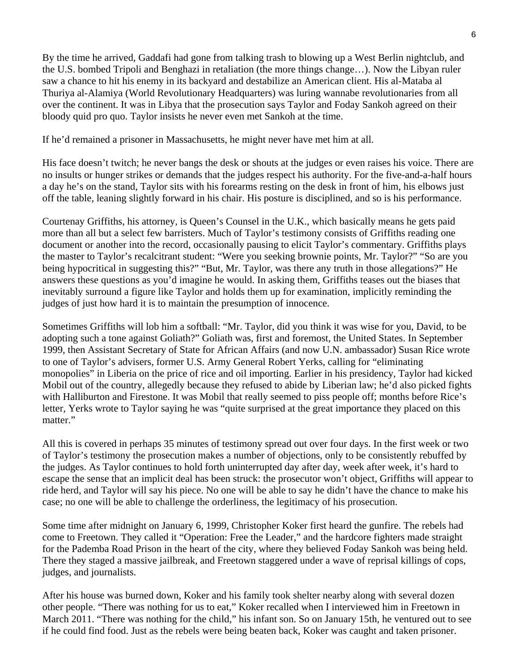By the time he arrived, Gaddafi had gone from talking trash to blowing up a West Berlin nightclub, and the U.S. bombed Tripoli and Benghazi in retaliation (the more things change…). Now the Libyan ruler saw a chance to hit his enemy in its backyard and destabilize an American client. His al-Mataba al Thuriya al-Alamiya (World Revolutionary Headquarters) was luring wannabe revolutionaries from all over the continent. It was in Libya that the prosecution says Taylor and Foday Sankoh agreed on their bloody quid pro quo. Taylor insists he never even met Sankoh at the time.

If he'd remained a prisoner in Massachusetts, he might never have met him at all.

His face doesn't twitch; he never bangs the desk or shouts at the judges or even raises his voice. There are no insults or hunger strikes or demands that the judges respect his authority. For the five-and-a-half hours a day he's on the stand, Taylor sits with his forearms resting on the desk in front of him, his elbows just off the table, leaning slightly forward in his chair. His posture is disciplined, and so is his performance.

Courtenay Griffiths, his attorney, is Queen's Counsel in the U.K., which basically means he gets paid more than all but a select few barristers. Much of Taylor's testimony consists of Griffiths reading one document or another into the record, occasionally pausing to elicit Taylor's commentary. Griffiths plays the master to Taylor's recalcitrant student: "Were you seeking brownie points, Mr. Taylor?" "So are you being hypocritical in suggesting this?" "But, Mr. Taylor, was there any truth in those allegations?" He answers these questions as you'd imagine he would. In asking them, Griffiths teases out the biases that inevitably surround a figure like Taylor and holds them up for examination, implicitly reminding the judges of just how hard it is to maintain the presumption of innocence.

Sometimes Griffiths will lob him a softball: "Mr. Taylor, did you think it was wise for you, David, to be adopting such a tone against Goliath?" Goliath was, first and foremost, the United States. In September 1999, then Assistant Secretary of State for African Affairs (and now U.N. ambassador) Susan Rice wrote to one of Taylor's advisers, former U.S. Army General Robert Yerks, calling for "eliminating monopolies" in Liberia on the price of rice and oil importing. Earlier in his presidency, Taylor had kicked Mobil out of the country, allegedly because they refused to abide by Liberian law; he'd also picked fights with Halliburton and Firestone. It was Mobil that really seemed to piss people off; months before Rice's letter, Yerks wrote to Taylor saying he was "quite surprised at the great importance they placed on this matter."

All this is covered in perhaps 35 minutes of testimony spread out over four days. In the first week or two of Taylor's testimony the prosecution makes a number of objections, only to be consistently rebuffed by the judges. As Taylor continues to hold forth uninterrupted day after day, week after week, it's hard to escape the sense that an implicit deal has been struck: the prosecutor won't object, Griffiths will appear to ride herd, and Taylor will say his piece. No one will be able to say he didn't have the chance to make his case; no one will be able to challenge the orderliness, the legitimacy of his prosecution.

Some time after midnight on January 6, 1999, Christopher Koker first heard the gunfire. The rebels had come to Freetown. They called it "Operation: Free the Leader," and the hardcore fighters made straight for the Pademba Road Prison in the heart of the city, where they believed Foday Sankoh was being held. There they staged a massive jailbreak, and Freetown staggered under a wave of reprisal killings of cops, judges, and journalists.

After his house was burned down, Koker and his family took shelter nearby along with several dozen other people. "There was nothing for us to eat," Koker recalled when I interviewed him in Freetown in March 2011. "There was nothing for the child," his infant son. So on January 15th, he ventured out to see if he could find food. Just as the rebels were being beaten back, Koker was caught and taken prisoner.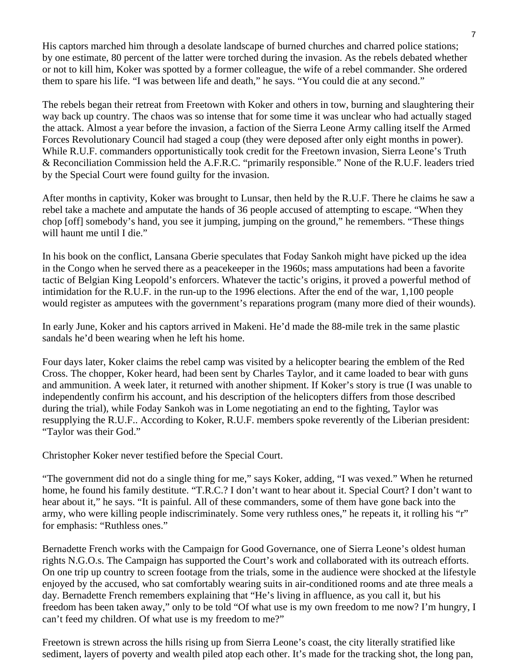His captors marched him through a desolate landscape of burned churches and charred police stations; by one estimate, 80 percent of the latter were torched during the invasion. As the rebels debated whether or not to kill him, Koker was spotted by a former colleague, the wife of a rebel commander. She ordered them to spare his life. "I was between life and death," he says. "You could die at any second."

The rebels began their retreat from Freetown with Koker and others in tow, burning and slaughtering their way back up country. The chaos was so intense that for some time it was unclear who had actually staged the attack. Almost a year before the invasion, a faction of the Sierra Leone Army calling itself the Armed Forces Revolutionary Council had staged a coup (they were deposed after only eight months in power). While R.U.F. commanders opportunistically took credit for the Freetown invasion, Sierra Leone's Truth & Reconciliation Commission held the A.F.R.C. "primarily responsible." None of the R.U.F. leaders tried by the Special Court were found guilty for the invasion.

After months in captivity, Koker was brought to Lunsar, then held by the R.U.F. There he claims he saw a rebel take a machete and amputate the hands of 36 people accused of attempting to escape. "When they chop [off] somebody's hand, you see it jumping, jumping on the ground," he remembers. "These things will haunt me until I die."

In his book on the conflict, Lansana Gberie speculates that Foday Sankoh might have picked up the idea in the Congo when he served there as a peacekeeper in the 1960s; mass amputations had been a favorite tactic of Belgian King Leopold's enforcers. Whatever the tactic's origins, it proved a powerful method of intimidation for the R.U.F. in the run-up to the 1996 elections. After the end of the war, 1,100 people would register as amputees with the government's reparations program (many more died of their wounds).

In early June, Koker and his captors arrived in Makeni. He'd made the 88-mile trek in the same plastic sandals he'd been wearing when he left his home.

Four days later, Koker claims the rebel camp was visited by a helicopter bearing the emblem of the Red Cross. The chopper, Koker heard, had been sent by Charles Taylor, and it came loaded to bear with guns and ammunition. A week later, it returned with another shipment. If Koker's story is true (I was unable to independently confirm his account, and his description of the helicopters differs from those described during the trial), while Foday Sankoh was in Lome negotiating an end to the fighting, Taylor was resupplying the R.U.F.. According to Koker, R.U.F. members spoke reverently of the Liberian president: "Taylor was their God."

Christopher Koker never testified before the Special Court.

"The government did not do a single thing for me," says Koker, adding, "I was vexed." When he returned home, he found his family destitute. "T.R.C.? I don't want to hear about it. Special Court? I don't want to hear about it," he says. "It is painful. All of these commanders, some of them have gone back into the army, who were killing people indiscriminately. Some very ruthless ones," he repeats it, it rolling his "r" for emphasis: "Ruthless ones."

Bernadette French works with the Campaign for Good Governance, one of Sierra Leone's oldest human rights N.G.O.s. The Campaign has supported the Court's work and collaborated with its outreach efforts. On one trip up country to screen footage from the trials, some in the audience were shocked at the lifestyle enjoyed by the accused, who sat comfortably wearing suits in air-conditioned rooms and ate three meals a day. Bernadette French remembers explaining that "He's living in affluence, as you call it, but his freedom has been taken away," only to be told "Of what use is my own freedom to me now? I'm hungry, I can't feed my children. Of what use is my freedom to me?"

Freetown is strewn across the hills rising up from Sierra Leone's coast, the city literally stratified like sediment, layers of poverty and wealth piled atop each other. It's made for the tracking shot, the long pan,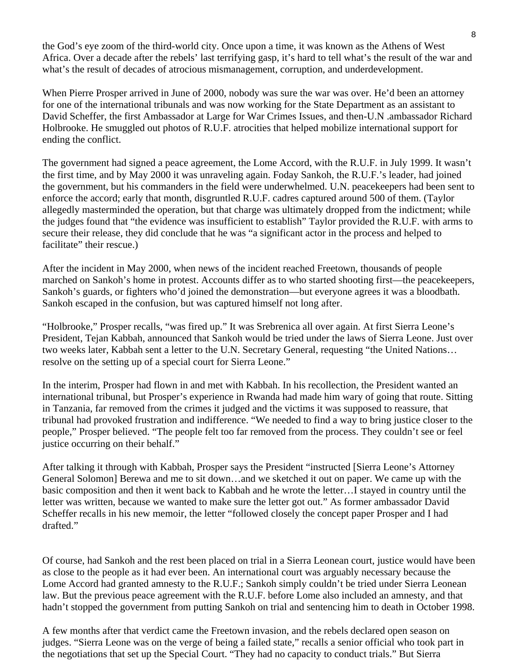the God's eye zoom of the third-world city. Once upon a time, it was known as the Athens of West Africa. Over a decade after the rebels' last terrifying gasp, it's hard to tell what's the result of the war and what's the result of decades of atrocious mismanagement, corruption, and underdevelopment.

When Pierre Prosper arrived in June of 2000, nobody was sure the war was over. He'd been an attorney for one of the international tribunals and was now working for the State Department as an assistant to David Scheffer, the first Ambassador at Large for War Crimes Issues, and then-U.N .ambassador Richard Holbrooke. He smuggled out photos of R.U.F. atrocities that helped mobilize international support for ending the conflict.

The government had signed a peace agreement, the Lome Accord, with the R.U.F. in July 1999. It wasn't the first time, and by May 2000 it was unraveling again. Foday Sankoh, the R.U.F.'s leader, had joined the government, but his commanders in the field were underwhelmed. U.N. peacekeepers had been sent to enforce the accord; early that month, disgruntled R.U.F. cadres captured around 500 of them. (Taylor allegedly masterminded the operation, but that charge was ultimately dropped from the indictment; while the judges found that "the evidence was insufficient to establish" Taylor provided the R.U.F. with arms to secure their release, they did conclude that he was "a significant actor in the process and helped to facilitate" their rescue.)

After the incident in May 2000, when news of the incident reached Freetown, thousands of people marched on Sankoh's home in protest. Accounts differ as to who started shooting first—the peacekeepers, Sankoh's guards, or fighters who'd joined the demonstration—but everyone agrees it was a bloodbath. Sankoh escaped in the confusion, but was captured himself not long after.

"Holbrooke," Prosper recalls, "was fired up." It was Srebrenica all over again. At first Sierra Leone's President, Tejan Kabbah, announced that Sankoh would be tried under the laws of Sierra Leone. Just over two weeks later, Kabbah sent a letter to the U.N. Secretary General, requesting "the United Nations… resolve on the setting up of a special court for Sierra Leone."

In the interim, Prosper had flown in and met with Kabbah. In his recollection, the President wanted an international tribunal, but Prosper's experience in Rwanda had made him wary of going that route. Sitting in Tanzania, far removed from the crimes it judged and the victims it was supposed to reassure, that tribunal had provoked frustration and indifference. "We needed to find a way to bring justice closer to the people," Prosper believed. "The people felt too far removed from the process. They couldn't see or feel justice occurring on their behalf."

After talking it through with Kabbah, Prosper says the President "instructed [Sierra Leone's Attorney General Solomon] Berewa and me to sit down…and we sketched it out on paper. We came up with the basic composition and then it went back to Kabbah and he wrote the letter…I stayed in country until the letter was written, because we wanted to make sure the letter got out." As former ambassador David Scheffer recalls in his new memoir, the letter "followed closely the concept paper Prosper and I had drafted."

Of course, had Sankoh and the rest been placed on trial in a Sierra Leonean court, justice would have been as close to the people as it had ever been. An international court was arguably necessary because the Lome Accord had granted amnesty to the R.U.F.; Sankoh simply couldn't be tried under Sierra Leonean law. But the previous peace agreement with the R.U.F. before Lome also included an amnesty, and that hadn't stopped the government from putting Sankoh on trial and sentencing him to death in October 1998.

A few months after that verdict came the Freetown invasion, and the rebels declared open season on judges. "Sierra Leone was on the verge of being a failed state," recalls a senior official who took part in the negotiations that set up the Special Court. "They had no capacity to conduct trials." But Sierra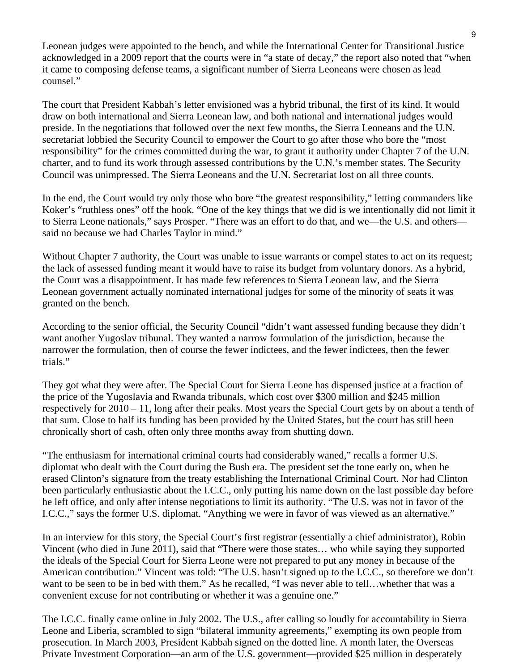Leonean judges were appointed to the bench, and while the International Center for Transitional Justice acknowledged in a 2009 report that the courts were in "a state of decay," the report also noted that "when it came to composing defense teams, a significant number of Sierra Leoneans were chosen as lead counsel."

The court that President Kabbah's letter envisioned was a hybrid tribunal, the first of its kind. It would draw on both international and Sierra Leonean law, and both national and international judges would preside. In the negotiations that followed over the next few months, the Sierra Leoneans and the U.N. secretariat lobbied the Security Council to empower the Court to go after those who bore the "most responsibility" for the crimes committed during the war, to grant it authority under Chapter 7 of the U.N. charter, and to fund its work through assessed contributions by the U.N.'s member states. The Security Council was unimpressed. The Sierra Leoneans and the U.N. Secretariat lost on all three counts.

In the end, the Court would try only those who bore "the greatest responsibility," letting commanders like Koker's "ruthless ones" off the hook. "One of the key things that we did is we intentionally did not limit it to Sierra Leone nationals," says Prosper. "There was an effort to do that, and we—the U.S. and others said no because we had Charles Taylor in mind."

Without Chapter 7 authority, the Court was unable to issue warrants or compel states to act on its request; the lack of assessed funding meant it would have to raise its budget from voluntary donors. As a hybrid, the Court was a disappointment. It has made few references to Sierra Leonean law, and the Sierra Leonean government actually nominated international judges for some of the minority of seats it was granted on the bench.

According to the senior official, the Security Council "didn't want assessed funding because they didn't want another Yugoslav tribunal. They wanted a narrow formulation of the jurisdiction, because the narrower the formulation, then of course the fewer indictees, and the fewer indictees, then the fewer trials."

They got what they were after. The Special Court for Sierra Leone has dispensed justice at a fraction of the price of the Yugoslavia and Rwanda tribunals, which cost over \$300 million and \$245 million respectively for 2010 – 11, long after their peaks. Most years the Special Court gets by on about a tenth of that sum. Close to half its funding has been provided by the United States, but the court has still been chronically short of cash, often only three months away from shutting down.

"The enthusiasm for international criminal courts had considerably waned," recalls a former U.S. diplomat who dealt with the Court during the Bush era. The president set the tone early on, when he erased Clinton's signature from the treaty establishing the International Criminal Court. Nor had Clinton been particularly enthusiastic about the I.C.C., only putting his name down on the last possible day before he left office, and only after intense negotiations to limit its authority. "The U.S. was not in favor of the I.C.C.," says the former U.S. diplomat. "Anything we were in favor of was viewed as an alternative."

In an interview for this story, the Special Court's first registrar (essentially a chief administrator), Robin Vincent (who died in June 2011), said that "There were those states… who while saying they supported the ideals of the Special Court for Sierra Leone were not prepared to put any money in because of the American contribution." Vincent was told: "The U.S. hasn't signed up to the I.C.C., so therefore we don't want to be seen to be in bed with them." As he recalled, "I was never able to tell…whether that was a convenient excuse for not contributing or whether it was a genuine one."

The I.C.C. finally came online in July 2002. The U.S., after calling so loudly for accountability in Sierra Leone and Liberia, scrambled to sign "bilateral immunity agreements," exempting its own people from prosecution. In March 2003, President Kabbah signed on the dotted line. A month later, the Overseas Private Investment Corporation—an arm of the U.S. government—provided \$25 million in desperately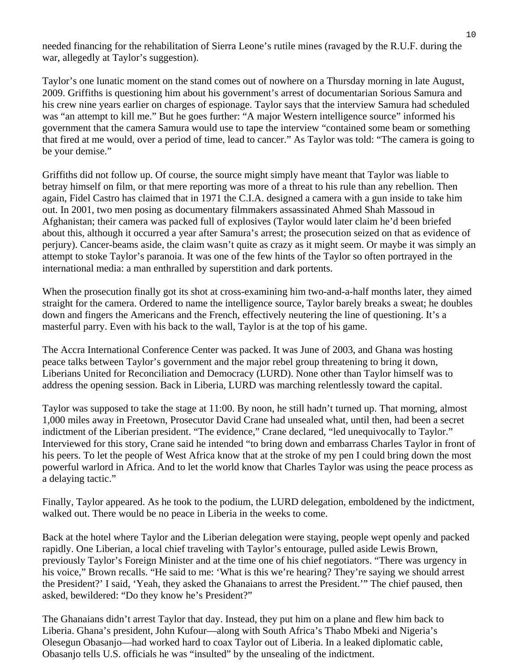needed financing for the rehabilitation of Sierra Leone's rutile mines (ravaged by the R.U.F. during the war, allegedly at Taylor's suggestion).

Taylor's one lunatic moment on the stand comes out of nowhere on a Thursday morning in late August, 2009. Griffiths is questioning him about his government's arrest of documentarian Sorious Samura and his crew nine years earlier on charges of espionage. Taylor says that the interview Samura had scheduled was "an attempt to kill me." But he goes further: "A major Western intelligence source" informed his government that the camera Samura would use to tape the interview "contained some beam or something that fired at me would, over a period of time, lead to cancer." As Taylor was told: "The camera is going to be your demise."

Griffiths did not follow up. Of course, the source might simply have meant that Taylor was liable to betray himself on film, or that mere reporting was more of a threat to his rule than any rebellion. Then again, Fidel Castro has claimed that in 1971 the C.I.A. designed a camera with a gun inside to take him out. In 2001, two men posing as documentary filmmakers assassinated Ahmed Shah Massoud in Afghanistan; their camera was packed full of explosives (Taylor would later claim he'd been briefed about this, although it occurred a year after Samura's arrest; the prosecution seized on that as evidence of perjury). Cancer-beams aside, the claim wasn't quite as crazy as it might seem. Or maybe it was simply an attempt to stoke Taylor's paranoia. It was one of the few hints of the Taylor so often portrayed in the international media: a man enthralled by superstition and dark portents.

When the prosecution finally got its shot at cross-examining him two-and-a-half months later, they aimed straight for the camera. Ordered to name the intelligence source, Taylor barely breaks a sweat; he doubles down and fingers the Americans and the French, effectively neutering the line of questioning. It's a masterful parry. Even with his back to the wall, Taylor is at the top of his game.

The Accra International Conference Center was packed. It was June of 2003, and Ghana was hosting peace talks between Taylor's government and the major rebel group threatening to bring it down, Liberians United for Reconciliation and Democracy (LURD). None other than Taylor himself was to address the opening session. Back in Liberia, LURD was marching relentlessly toward the capital.

Taylor was supposed to take the stage at 11:00. By noon, he still hadn't turned up. That morning, almost 1,000 miles away in Freetown, Prosecutor David Crane had unsealed what, until then, had been a secret indictment of the Liberian president. "The evidence," Crane declared, "led unequivocally to Taylor." Interviewed for this story, Crane said he intended "to bring down and embarrass Charles Taylor in front of his peers. To let the people of West Africa know that at the stroke of my pen I could bring down the most powerful warlord in Africa. And to let the world know that Charles Taylor was using the peace process as a delaying tactic."

Finally, Taylor appeared. As he took to the podium, the LURD delegation, emboldened by the indictment, walked out. There would be no peace in Liberia in the weeks to come.

Back at the hotel where Taylor and the Liberian delegation were staying, people wept openly and packed rapidly. One Liberian, a local chief traveling with Taylor's entourage, pulled aside Lewis Brown, previously Taylor's Foreign Minister and at the time one of his chief negotiators. "There was urgency in his voice," Brown recalls. "He said to me: 'What is this we're hearing? They're saying we should arrest the President?' I said, 'Yeah, they asked the Ghanaians to arrest the President.'" The chief paused, then asked, bewildered: "Do they know he's President?"

The Ghanaians didn't arrest Taylor that day. Instead, they put him on a plane and flew him back to Liberia. Ghana's president, John Kufour—along with South Africa's Thabo Mbeki and Nigeria's Olesegun Obasanjo—had worked hard to coax Taylor out of Liberia. In a leaked diplomatic cable, Obasanjo tells U.S. officials he was "insulted" by the unsealing of the indictment.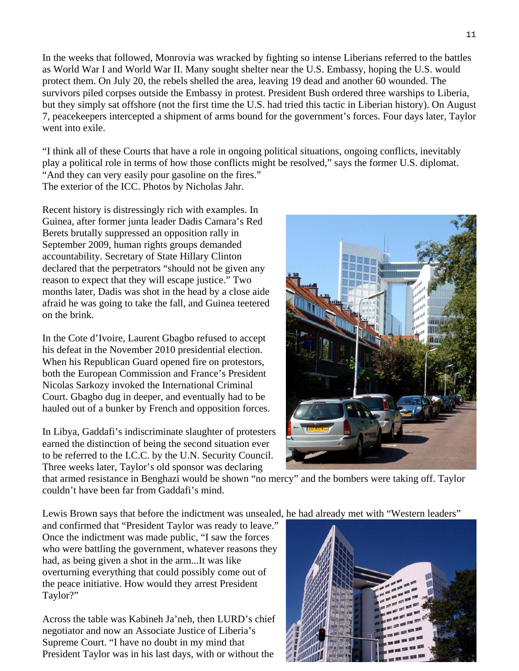In the weeks that followed, Monrovia was wracked by fighting so intense Liberians referred to the battles as World War I and World War II. Many sought shelter near the U.S. Embassy, hoping the U.S. would protect them. On July 20, the rebels shelled the area, leaving 19 dead and another 60 wounded. The survivors piled corpses outside the Embassy in protest. President Bush ordered three warships to Liberia, but they simply sat offshore (not the first time the U.S. had tried this tactic in Liberian history). On August 7, peacekeepers intercepted a shipment of arms bound for the government's forces. Four days later, Taylor went into exile.

"I think all of these Courts that have a role in ongoing political situations, ongoing conflicts, inevitably play a political role in terms of how those conflicts might be resolved," says the former U.S. diplomat. "And they can very easily pour gasoline on the fires." The exterior of the ICC. Photos by Nicholas Jahr.

Recent history is distressingly rich with examples. In Guinea, after former junta leader Dadis Camara's Red Berets brutally suppressed an opposition rally in September 2009, human rights groups demanded accountability. Secretary of State Hillary Clinton declared that the perpetrators "should not be given any reason to expect that they will escape justice." Two months later, Dadis was shot in the head by a close aide afraid he was going to take the fall, and Guinea teetered on the brink.

In the Cote d'Ivoire, Laurent Gbagbo refused to accept his defeat in the November 2010 presidential election. When his Republican Guard opened fire on protestors, both the European Commission and France's President Nicolas Sarkozy invoked the International Criminal Court. Gbagbo dug in deeper, and eventually had to be hauled out of a bunker by French and opposition forces.

In Libya, Gaddafi's indiscriminate slaughter of protesters earned the distinction of being the second situation ever to be referred to the I.C.C. by the U.N. Security Council. Three weeks later, Taylor's old sponsor was declaring



that armed resistance in Benghazi would be shown "no mercy" and the bombers were taking off. Taylor couldn't have been far from Gaddafi's mind.

Lewis Brown says that before the indictment was unsealed, he had already met with "Western leaders"

and confirmed that "President Taylor was ready to leave." who were battling the government, whatever reasons they Once the indictment was made public, "I saw the forces had, as being given a shot in the arm...It was like overturning everything that could possibly come out of the peace initiative. How would they arrest President Taylor?"

Across the table was Kabineh Ja'neh, then LURD's chief negotiator and now an Associate Justice of Liberia's Supreme Court. "I have no doubt in my mind that President Taylor was in his last days, with or without the

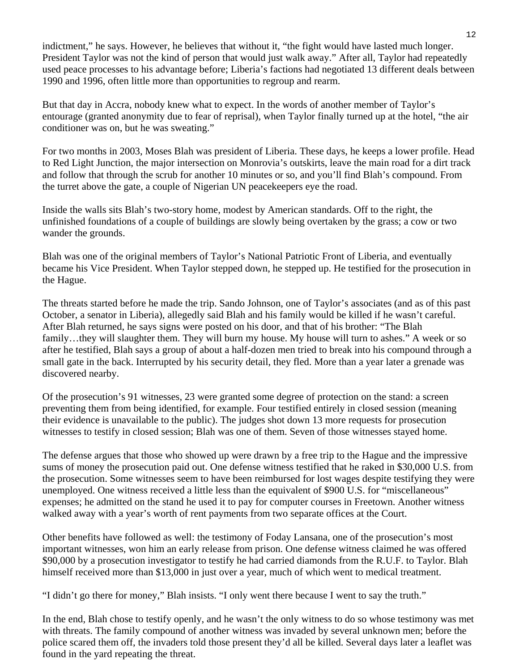indictment," he says. However, he believes that without it, "the fight would have lasted much longer. President Taylor was not the kind of person that would just walk away." After all, Taylor had repeatedly used peace processes to his advantage before; Liberia's factions had negotiated 13 different deals between 1990 and 1996, often little more than opportunities to regroup and rearm.

But that day in Accra, nobody knew what to expect. In the words of another member of Taylor's entourage (granted anonymity due to fear of reprisal), when Taylor finally turned up at the hotel, "the air conditioner was on, but he was sweating."

For two months in 2003, Moses Blah was president of Liberia. These days, he keeps a lower profile. Head to Red Light Junction, the major intersection on Monrovia's outskirts, leave the main road for a dirt track and follow that through the scrub for another 10 minutes or so, and you'll find Blah's compound. From the turret above the gate, a couple of Nigerian UN peacekeepers eye the road.

Inside the walls sits Blah's two-story home, modest by American standards. Off to the right, the unfinished foundations of a couple of buildings are slowly being overtaken by the grass; a cow or two wander the grounds.

Blah was one of the original members of Taylor's National Patriotic Front of Liberia, and eventually became his Vice President. When Taylor stepped down, he stepped up. He testified for the prosecution in the Hague.

The threats started before he made the trip. Sando Johnson, one of Taylor's associates (and as of this past October, a senator in Liberia), allegedly said Blah and his family would be killed if he wasn't careful. After Blah returned, he says signs were posted on his door, and that of his brother: "The Blah family...they will slaughter them. They will burn my house. My house will turn to ashes." A week or so after he testified, Blah says a group of about a half-dozen men tried to break into his compound through a small gate in the back. Interrupted by his security detail, they fled. More than a year later a grenade was discovered nearby.

Of the prosecution's 91 witnesses, 23 were granted some degree of protection on the stand: a screen preventing them from being identified, for example. Four testified entirely in closed session (meaning their evidence is unavailable to the public). The judges shot down 13 more requests for prosecution witnesses to testify in closed session; Blah was one of them. Seven of those witnesses stayed home.

The defense argues that those who showed up were drawn by a free trip to the Hague and the impressive sums of money the prosecution paid out. One defense witness testified that he raked in \$30,000 U.S. from the prosecution. Some witnesses seem to have been reimbursed for lost wages despite testifying they were unemployed. One witness received a little less than the equivalent of \$900 U.S. for "miscellaneous" expenses; he admitted on the stand he used it to pay for computer courses in Freetown. Another witness walked away with a year's worth of rent payments from two separate offices at the Court.

Other benefits have followed as well: the testimony of Foday Lansana, one of the prosecution's most important witnesses, won him an early release from prison. One defense witness claimed he was offered \$90,000 by a prosecution investigator to testify he had carried diamonds from the R.U.F. to Taylor. Blah himself received more than \$13,000 in just over a year, much of which went to medical treatment.

"I didn't go there for money," Blah insists. "I only went there because I went to say the truth."

In the end, Blah chose to testify openly, and he wasn't the only witness to do so whose testimony was met with threats. The family compound of another witness was invaded by several unknown men; before the police scared them off, the invaders told those present they'd all be killed. Several days later a leaflet was found in the yard repeating the threat.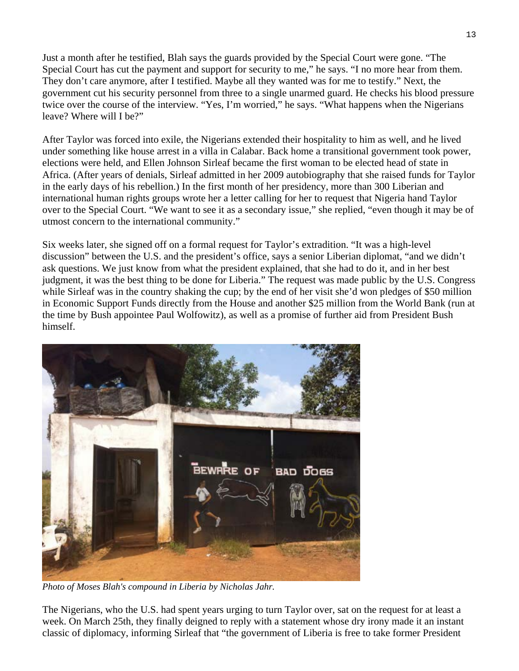Just a month after he testified, Blah says the guards provided by the Special Court were gone. "The Special Court has cut the payment and support for security to me," he says. "I no more hear from them. They don't care anymore, after I testified. Maybe all they wanted was for me to testify." Next, the government cut his security personnel from three to a single unarmed guard. He checks his blood pressure twice over the course of the interview. "Yes, I'm worried," he says. "What happens when the Nigerians leave? Where will I be?"

After Taylor was forced into exile, the Nigerians extended their hospitality to him as well, and he lived under something like house arrest in a villa in Calabar. Back home a transitional government took power, elections were held, and Ellen Johnson Sirleaf became the first woman to be elected head of state in Africa. (After years of denials, Sirleaf admitted in her 2009 autobiography that she raised funds for Taylor in the early days of his rebellion.) In the first month of her presidency, more than 300 Liberian and international human rights groups wrote her a letter calling for her to request that Nigeria hand Taylor over to the Special Court. "We want to see it as a secondary issue," she replied, "even though it may be of utmost concern to the international community."

Six weeks later, she signed off on a formal request for Taylor's extradition. "It was a high-level discussion" between the U.S. and the president's office, says a senior Liberian diplomat, "and we didn't ask questions. We just know from what the president explained, that she had to do it, and in her best judgment, it was the best thing to be done for Liberia." The request was made public by the U.S. Congress while Sirleaf was in the country shaking the cup; by the end of her visit she'd won pledges of \$50 million in Economic Support Funds directly from the House and another \$25 million from the World Bank (run at the time by Bush appointee Paul Wolfowitz), as well as a promise of further aid from President Bush himself.



*Photo of Moses Blah's compound in Liberia by Nicholas Jahr.* 

The Nigerians, who the U.S. had spent years urging to turn Taylor over, sat on the request for at least a week. On March 25th, they finally deigned to reply with a statement whose dry irony made it an instant classic of diplomacy, informing Sirleaf that "the government of Liberia is free to take former President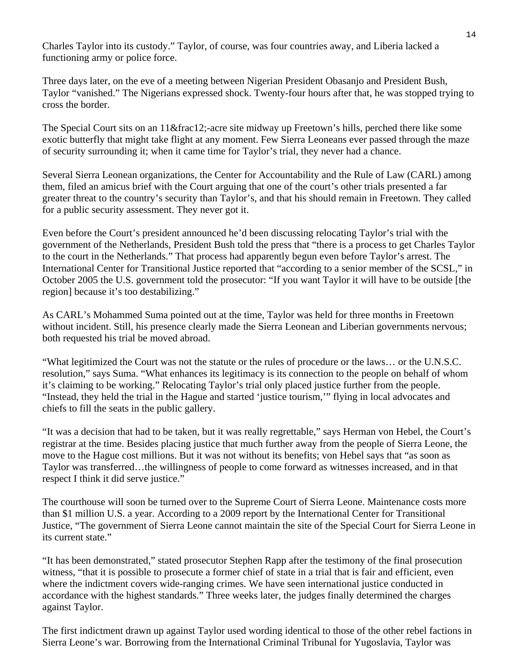Charles Taylor into its custody." Taylor, of course, was four countries away, and Liberia lacked a functioning army or police force.

Three days later, on the eve of a meeting between Nigerian President Obasanjo and President Bush, Taylor "vanished." The Nigerians expressed shock. Twenty-four hours after that, he was stopped trying to cross the border.

The Special Court sits on an 11½-acre site midway up Freetown's hills, perched there like some exotic butterfly that might take flight at any moment. Few Sierra Leoneans ever passed through the maze of security surrounding it; when it came time for Taylor's trial, they never had a chance.

Several Sierra Leonean organizations, the Center for Accountability and the Rule of Law (CARL) among them, filed an amicus brief with the Court arguing that one of the court's other trials presented a far greater threat to the country's security than Taylor's, and that his should remain in Freetown. They called for a public security assessment. They never got it.

Even before the Court's president announced he'd been discussing relocating Taylor's trial with the government of the Netherlands, President Bush told the press that "there is a process to get Charles Taylor to the court in the Netherlands." That process had apparently begun even before Taylor's arrest. The International Center for Transitional Justice reported that "according to a senior member of the SCSL," in October 2005 the U.S. government told the prosecutor: "If you want Taylor it will have to be outside [the region] because it's too destabilizing."

As CARL's Mohammed Suma pointed out at the time, Taylor was held for three months in Freetown without incident. Still, his presence clearly made the Sierra Leonean and Liberian governments nervous; both requested his trial be moved abroad.

"What legitimized the Court was not the statute or the rules of procedure or the laws… or the U.N.S.C. resolution," says Suma. "What enhances its legitimacy is its connection to the people on behalf of whom it's claiming to be working." Relocating Taylor's trial only placed justice further from the people. "Instead, they held the trial in the Hague and started 'justice tourism,'" flying in local advocates and chiefs to fill the seats in the public gallery.

"It was a decision that had to be taken, but it was really regrettable," says Herman von Hebel, the Court's registrar at the time. Besides placing justice that much further away from the people of Sierra Leone, the move to the Hague cost millions. But it was not without its benefits; von Hebel says that "as soon as Taylor was transferred…the willingness of people to come forward as witnesses increased, and in that respect I think it did serve justice."

The courthouse will soon be turned over to the Supreme Court of Sierra Leone. Maintenance costs more than \$1 million U.S. a year. According to a 2009 report by the International Center for Transitional Justice, "The government of Sierra Leone cannot maintain the site of the Special Court for Sierra Leone in its current state."

"It has been demonstrated," stated prosecutor Stephen Rapp after the testimony of the final prosecution witness, "that it is possible to prosecute a former chief of state in a trial that is fair and efficient, even where the indictment covers wide-ranging crimes. We have seen international justice conducted in accordance with the highest standards." Three weeks later, the judges finally determined the charges against Taylor.

The first indictment drawn up against Taylor used wording identical to those of the other rebel factions in Sierra Leone's war. Borrowing from the International Criminal Tribunal for Yugoslavia, Taylor was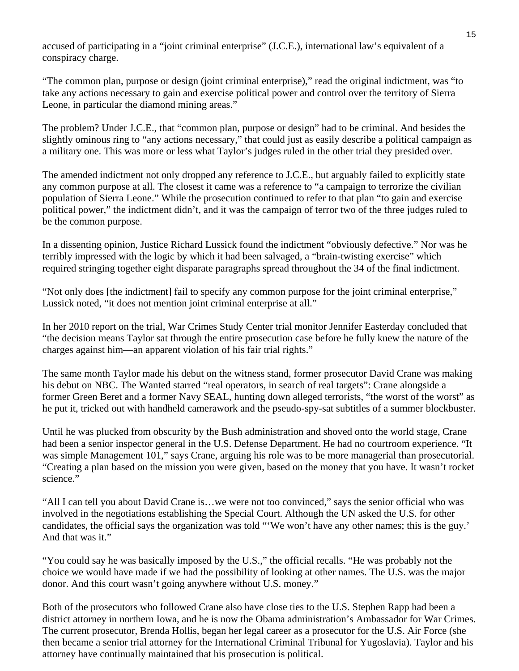accused of participating in a "joint criminal enterprise" (J.C.E.), international law's equivalent of a conspiracy charge.

"The common plan, purpose or design (joint criminal enterprise)," read the original indictment, was "to take any actions necessary to gain and exercise political power and control over the territory of Sierra Leone, in particular the diamond mining areas."

The problem? Under J.C.E., that "common plan, purpose or design" had to be criminal. And besides the slightly ominous ring to "any actions necessary," that could just as easily describe a political campaign as a military one. This was more or less what Taylor's judges ruled in the other trial they presided over.

The amended indictment not only dropped any reference to J.C.E., but arguably failed to explicitly state any common purpose at all. The closest it came was a reference to "a campaign to terrorize the civilian population of Sierra Leone." While the prosecution continued to refer to that plan "to gain and exercise political power," the indictment didn't, and it was the campaign of terror two of the three judges ruled to be the common purpose.

In a dissenting opinion, Justice Richard Lussick found the indictment "obviously defective." Nor was he terribly impressed with the logic by which it had been salvaged, a "brain-twisting exercise" which required stringing together eight disparate paragraphs spread throughout the 34 of the final indictment.

"Not only does [the indictment] fail to specify any common purpose for the joint criminal enterprise," Lussick noted, "it does not mention joint criminal enterprise at all."

In her 2010 report on the trial, War Crimes Study Center trial monitor Jennifer Easterday concluded that "the decision means Taylor sat through the entire prosecution case before he fully knew the nature of the charges against him—an apparent violation of his fair trial rights."

The same month Taylor made his debut on the witness stand, former prosecutor David Crane was making his debut on NBC. The Wanted starred "real operators, in search of real targets": Crane alongside a former Green Beret and a former Navy SEAL, hunting down alleged terrorists, "the worst of the worst" as he put it, tricked out with handheld camerawork and the pseudo-spy-sat subtitles of a summer blockbuster.

Until he was plucked from obscurity by the Bush administration and shoved onto the world stage, Crane had been a senior inspector general in the U.S. Defense Department. He had no courtroom experience. "It was simple Management 101," says Crane, arguing his role was to be more managerial than prosecutorial. "Creating a plan based on the mission you were given, based on the money that you have. It wasn't rocket science."

"All I can tell you about David Crane is…we were not too convinced," says the senior official who was involved in the negotiations establishing the Special Court. Although the UN asked the U.S. for other candidates, the official says the organization was told "'We won't have any other names; this is the guy.' And that was it."

"You could say he was basically imposed by the U.S.," the official recalls. "He was probably not the choice we would have made if we had the possibility of looking at other names. The U.S. was the major donor. And this court wasn't going anywhere without U.S. money."

Both of the prosecutors who followed Crane also have close ties to the U.S. Stephen Rapp had been a district attorney in northern Iowa, and he is now the Obama administration's Ambassador for War Crimes. The current prosecutor, Brenda Hollis, began her legal career as a prosecutor for the U.S. Air Force (she then became a senior trial attorney for the International Criminal Tribunal for Yugoslavia). Taylor and his attorney have continually maintained that his prosecution is political.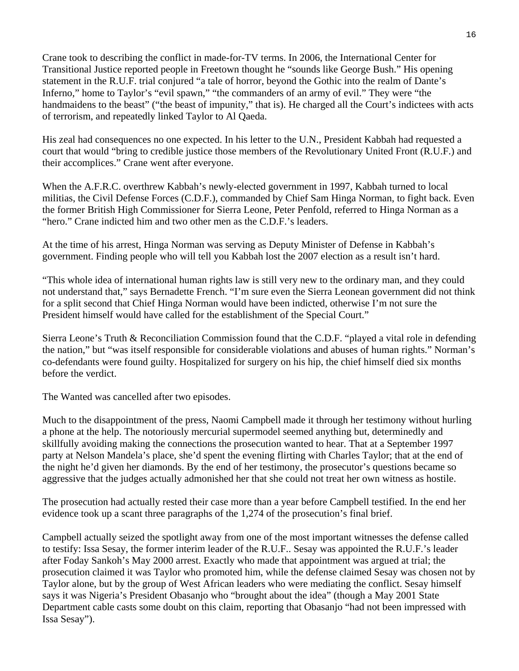Crane took to describing the conflict in made-for-TV terms. In 2006, the International Center for Transitional Justice reported people in Freetown thought he "sounds like George Bush." His opening statement in the R.U.F. trial conjured "a tale of horror, beyond the Gothic into the realm of Dante's Inferno," home to Taylor's "evil spawn," "the commanders of an army of evil." They were "the handmaidens to the beast" ("the beast of impunity," that is). He charged all the Court's indictees with acts of terrorism, and repeatedly linked Taylor to Al Qaeda.

His zeal had consequences no one expected. In his letter to the U.N., President Kabbah had requested a court that would "bring to credible justice those members of the Revolutionary United Front (R.U.F.) and their accomplices." Crane went after everyone.

When the A.F.R.C. overthrew Kabbah's newly-elected government in 1997, Kabbah turned to local militias, the Civil Defense Forces (C.D.F.), commanded by Chief Sam Hinga Norman, to fight back. Even the former British High Commissioner for Sierra Leone, Peter Penfold, referred to Hinga Norman as a "hero." Crane indicted him and two other men as the C.D.F.'s leaders.

At the time of his arrest, Hinga Norman was serving as Deputy Minister of Defense in Kabbah's government. Finding people who will tell you Kabbah lost the 2007 election as a result isn't hard.

"This whole idea of international human rights law is still very new to the ordinary man, and they could not understand that," says Bernadette French. "I'm sure even the Sierra Leonean government did not think for a split second that Chief Hinga Norman would have been indicted, otherwise I'm not sure the President himself would have called for the establishment of the Special Court."

Sierra Leone's Truth & Reconciliation Commission found that the C.D.F. "played a vital role in defending the nation," but "was itself responsible for considerable violations and abuses of human rights." Norman's co-defendants were found guilty. Hospitalized for surgery on his hip, the chief himself died six months before the verdict.

The Wanted was cancelled after two episodes.

Much to the disappointment of the press, Naomi Campbell made it through her testimony without hurling a phone at the help. The notoriously mercurial supermodel seemed anything but, determinedly and skillfully avoiding making the connections the prosecution wanted to hear. That at a September 1997 party at Nelson Mandela's place, she'd spent the evening flirting with Charles Taylor; that at the end of the night he'd given her diamonds. By the end of her testimony, the prosecutor's questions became so aggressive that the judges actually admonished her that she could not treat her own witness as hostile.

The prosecution had actually rested their case more than a year before Campbell testified. In the end her evidence took up a scant three paragraphs of the 1,274 of the prosecution's final brief.

Campbell actually seized the spotlight away from one of the most important witnesses the defense called to testify: Issa Sesay, the former interim leader of the R.U.F.. Sesay was appointed the R.U.F.'s leader after Foday Sankoh's May 2000 arrest. Exactly who made that appointment was argued at trial; the prosecution claimed it was Taylor who promoted him, while the defense claimed Sesay was chosen not by Taylor alone, but by the group of West African leaders who were mediating the conflict. Sesay himself says it was Nigeria's President Obasanjo who "brought about the idea" (though a May 2001 State Department cable casts some doubt on this claim, reporting that Obasanjo "had not been impressed with Issa Sesay").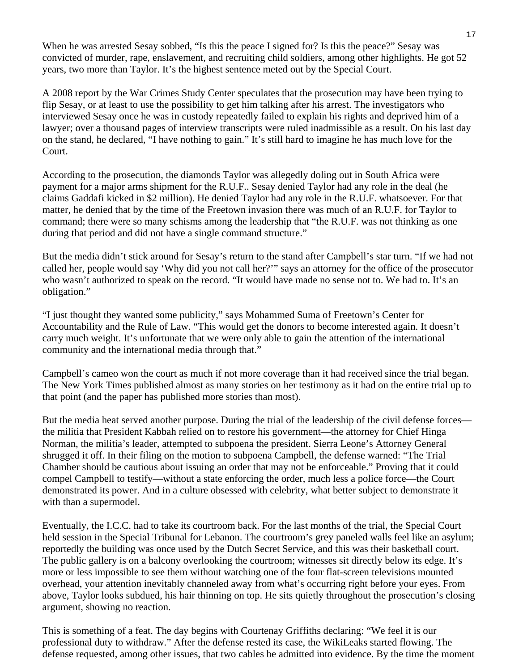When he was arrested Sesay sobbed, "Is this the peace I signed for? Is this the peace?" Sesay was convicted of murder, rape, enslavement, and recruiting child soldiers, among other highlights. He got 52 years, two more than Taylor. It's the highest sentence meted out by the Special Court.

A 2008 report by the War Crimes Study Center speculates that the prosecution may have been trying to flip Sesay, or at least to use the possibility to get him talking after his arrest. The investigators who interviewed Sesay once he was in custody repeatedly failed to explain his rights and deprived him of a lawyer; over a thousand pages of interview transcripts were ruled inadmissible as a result. On his last day on the stand, he declared, "I have nothing to gain." It's still hard to imagine he has much love for the Court.

According to the prosecution, the diamonds Taylor was allegedly doling out in South Africa were payment for a major arms shipment for the R.U.F.. Sesay denied Taylor had any role in the deal (he claims Gaddafi kicked in \$2 million). He denied Taylor had any role in the R.U.F. whatsoever. For that matter, he denied that by the time of the Freetown invasion there was much of an R.U.F. for Taylor to command; there were so many schisms among the leadership that "the R.U.F. was not thinking as one during that period and did not have a single command structure."

But the media didn't stick around for Sesay's return to the stand after Campbell's star turn. "If we had not called her, people would say 'Why did you not call her?'" says an attorney for the office of the prosecutor who wasn't authorized to speak on the record. "It would have made no sense not to. We had to. It's an obligation."

"I just thought they wanted some publicity," says Mohammed Suma of Freetown's Center for Accountability and the Rule of Law. "This would get the donors to become interested again. It doesn't carry much weight. It's unfortunate that we were only able to gain the attention of the international community and the international media through that."

Campbell's cameo won the court as much if not more coverage than it had received since the trial began. The New York Times published almost as many stories on her testimony as it had on the entire trial up to that point (and the paper has published more stories than most).

But the media heat served another purpose. During the trial of the leadership of the civil defense forces the militia that President Kabbah relied on to restore his government—the attorney for Chief Hinga Norman, the militia's leader, attempted to subpoena the president. Sierra Leone's Attorney General shrugged it off. In their filing on the motion to subpoena Campbell, the defense warned: "The Trial Chamber should be cautious about issuing an order that may not be enforceable." Proving that it could compel Campbell to testify—without a state enforcing the order, much less a police force—the Court demonstrated its power. And in a culture obsessed with celebrity, what better subject to demonstrate it with than a supermodel.

Eventually, the I.C.C. had to take its courtroom back. For the last months of the trial, the Special Court held session in the Special Tribunal for Lebanon. The courtroom's grey paneled walls feel like an asylum; reportedly the building was once used by the Dutch Secret Service, and this was their basketball court. The public gallery is on a balcony overlooking the courtroom; witnesses sit directly below its edge. It's more or less impossible to see them without watching one of the four flat-screen televisions mounted overhead, your attention inevitably channeled away from what's occurring right before your eyes. From above, Taylor looks subdued, his hair thinning on top. He sits quietly throughout the prosecution's closing argument, showing no reaction.

This is something of a feat. The day begins with Courtenay Griffiths declaring: "We feel it is our professional duty to withdraw." After the defense rested its case, the WikiLeaks started flowing. The defense requested, among other issues, that two cables be admitted into evidence. By the time the moment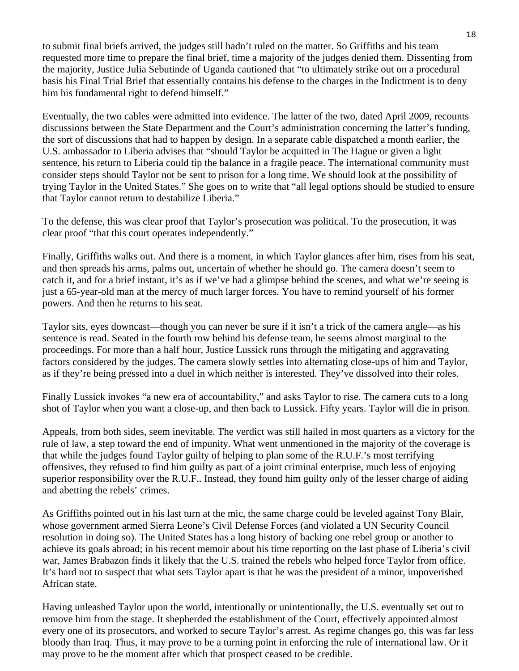to submit final briefs arrived, the judges still hadn't ruled on the matter. So Griffiths and his team requested more time to prepare the final brief, time a majority of the judges denied them. Dissenting from the majority, Justice Julia Sebutinde of Uganda cautioned that "to ultimately strike out on a procedural basis his Final Trial Brief that essentially contains his defense to the charges in the Indictment is to deny him his fundamental right to defend himself."

Eventually, the two cables were admitted into evidence. The latter of the two, dated April 2009, recounts discussions between the State Department and the Court's administration concerning the latter's funding, the sort of discussions that had to happen by design. In a separate cable dispatched a month earlier, the U.S. ambassador to Liberia advises that "should Taylor be acquitted in The Hague or given a light sentence, his return to Liberia could tip the balance in a fragile peace. The international community must consider steps should Taylor not be sent to prison for a long time. We should look at the possibility of trying Taylor in the United States." She goes on to write that "all legal options should be studied to ensure that Taylor cannot return to destabilize Liberia."

To the defense, this was clear proof that Taylor's prosecution was political. To the prosecution, it was clear proof "that this court operates independently."

Finally, Griffiths walks out. And there is a moment, in which Taylor glances after him, rises from his seat, and then spreads his arms, palms out, uncertain of whether he should go. The camera doesn't seem to catch it, and for a brief instant, it's as if we've had a glimpse behind the scenes, and what we're seeing is just a 65-year-old man at the mercy of much larger forces. You have to remind yourself of his former powers. And then he returns to his seat.

Taylor sits, eyes downcast—though you can never be sure if it isn't a trick of the camera angle—as his sentence is read. Seated in the fourth row behind his defense team, he seems almost marginal to the proceedings. For more than a half hour, Justice Lussick runs through the mitigating and aggravating factors considered by the judges. The camera slowly settles into alternating close-ups of him and Taylor, as if they're being pressed into a duel in which neither is interested. They've dissolved into their roles.

Finally Lussick invokes "a new era of accountability," and asks Taylor to rise. The camera cuts to a long shot of Taylor when you want a close-up, and then back to Lussick. Fifty years. Taylor will die in prison.

Appeals, from both sides, seem inevitable. The verdict was still hailed in most quarters as a victory for the rule of law, a step toward the end of impunity. What went unmentioned in the majority of the coverage is that while the judges found Taylor guilty of helping to plan some of the R.U.F.'s most terrifying offensives, they refused to find him guilty as part of a joint criminal enterprise, much less of enjoying superior responsibility over the R.U.F.. Instead, they found him guilty only of the lesser charge of aiding and abetting the rebels' crimes.

As Griffiths pointed out in his last turn at the mic, the same charge could be leveled against Tony Blair, whose government armed Sierra Leone's Civil Defense Forces (and violated a UN Security Council resolution in doing so). The United States has a long history of backing one rebel group or another to achieve its goals abroad; in his recent memoir about his time reporting on the last phase of Liberia's civil war, James Brabazon finds it likely that the U.S. trained the rebels who helped force Taylor from office. It's hard not to suspect that what sets Taylor apart is that he was the president of a minor, impoverished African state.

Having unleashed Taylor upon the world, intentionally or unintentionally, the U.S. eventually set out to remove him from the stage. It shepherded the establishment of the Court, effectively appointed almost every one of its prosecutors, and worked to secure Taylor's arrest. As regime changes go, this was far less bloody than Iraq. Thus, it may prove to be a turning point in enforcing the rule of international law. Or it may prove to be the moment after which that prospect ceased to be credible.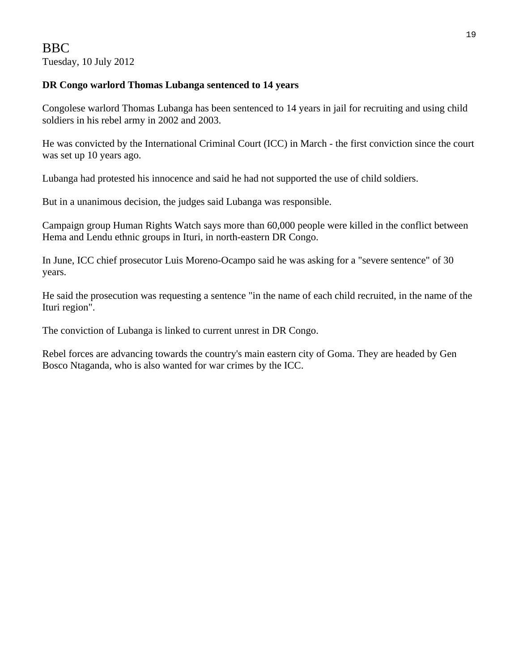#### **DR Congo warlord Thomas Lubanga sentenced to 14 years**

Congolese warlord Thomas Lubanga has been sentenced to 14 years in jail for recruiting and using child soldiers in his rebel army in 2002 and 2003.

He was convicted by the International Criminal Court (ICC) in March - the first conviction since the court was set up 10 years ago.

Lubanga had protested his innocence and said he had not supported the use of child soldiers.

But in a unanimous decision, the judges said Lubanga was responsible.

Campaign group Human Rights Watch says more than 60,000 people were killed in the conflict between Hema and Lendu ethnic groups in Ituri, in north-eastern DR Congo.

In June, ICC chief prosecutor Luis Moreno-Ocampo said he was asking for a "severe sentence" of 30 years.

He said the prosecution was requesting a sentence "in the name of each child recruited, in the name of the Ituri region".

The conviction of Lubanga is linked to current unrest in DR Congo.

Rebel forces are advancing towards the country's main eastern city of Goma. They are headed by Gen Bosco Ntaganda, who is also wanted for war crimes by the ICC.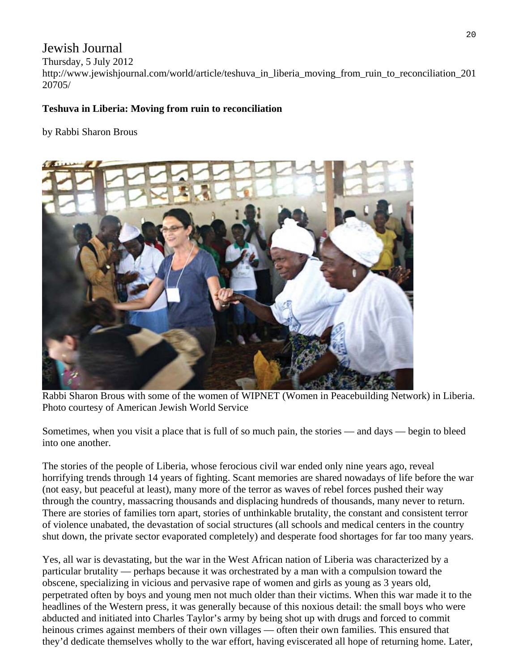## Jewish Journal

#### Thursday, 5 July 2012

http://www.jewishjournal.com/world/article/teshuva\_in\_liberia\_moving\_from\_ruin\_to\_reconciliation\_201 20705/

#### **Teshuva in Liberia: Moving from ruin to reconciliation**

#### by Rabbi Sharon Brous



Rabbi Sharon Brous with some of the women of WIPNET (Women in Peacebuilding Network) in Liberia. Photo courtesy of American Jewish World Service

Sometimes, when you visit a place that is full of so much pain, the stories — and days — begin to bleed into one another.

The stories of the people of Liberia, whose ferocious civil war ended only nine years ago, reveal horrifying trends through 14 years of fighting. Scant memories are shared nowadays of life before the war (not easy, but peaceful at least), many more of the terror as waves of rebel forces pushed their way through the country, massacring thousands and displacing hundreds of thousands, many never to return. There are stories of families torn apart, stories of unthinkable brutality, the constant and consistent terror of violence unabated, the devastation of social structures (all schools and medical centers in the country shut down, the private sector evaporated completely) and desperate food shortages for far too many years.

Yes, all war is devastating, but the war in the West African nation of Liberia was characterized by a particular brutality — perhaps because it was orchestrated by a man with a compulsion toward the obscene, specializing in vicious and pervasive rape of women and girls as young as 3 years old, perpetrated often by boys and young men not much older than their victims. When this war made it to the headlines of the Western press, it was generally because of this noxious detail: the small boys who were abducted and initiated into Charles Taylor's army by being shot up with drugs and forced to commit heinous crimes against members of their own villages — often their own families. This ensured that they'd dedicate themselves wholly to the war effort, having eviscerated all hope of returning home. Later,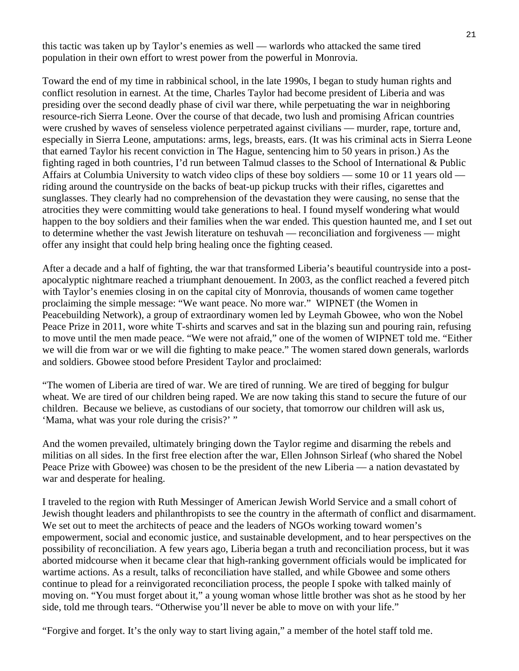this tactic was taken up by Taylor's enemies as well — warlords who attacked the same tired population in their own effort to wrest power from the powerful in Monrovia.

Toward the end of my time in rabbinical school, in the late 1990s, I began to study human rights and conflict resolution in earnest. At the time, Charles Taylor had become president of Liberia and was presiding over the second deadly phase of civil war there, while perpetuating the war in neighboring resource-rich Sierra Leone. Over the course of that decade, two lush and promising African countries were crushed by waves of senseless violence perpetrated against civilians — murder, rape, torture and, especially in Sierra Leone, amputations: arms, legs, breasts, ears. (It was his criminal acts in Sierra Leone that earned Taylor his recent conviction in The Hague, sentencing him to 50 years in prison.) As the fighting raged in both countries, I'd run between Talmud classes to the School of International & Public Affairs at Columbia University to watch video clips of these boy soldiers — some 10 or 11 years old riding around the countryside on the backs of beat-up pickup trucks with their rifles, cigarettes and sunglasses. They clearly had no comprehension of the devastation they were causing, no sense that the atrocities they were committing would take generations to heal. I found myself wondering what would happen to the boy soldiers and their families when the war ended. This question haunted me, and I set out to determine whether the vast Jewish literature on teshuvah — reconciliation and forgiveness — might offer any insight that could help bring healing once the fighting ceased.

After a decade and a half of fighting, the war that transformed Liberia's beautiful countryside into a postapocalyptic nightmare reached a triumphant denouement. In 2003, as the conflict reached a fevered pitch with Taylor's enemies closing in on the capital city of Monrovia, thousands of women came together proclaiming the simple message: "We want peace. No more war." WIPNET (the Women in Peacebuilding Network), a group of extraordinary women led by Leymah Gbowee, who won the Nobel Peace Prize in 2011, wore white T-shirts and scarves and sat in the blazing sun and pouring rain, refusing to move until the men made peace. "We were not afraid," one of the women of WIPNET told me. "Either we will die from war or we will die fighting to make peace." The women stared down generals, warlords and soldiers. Gbowee stood before President Taylor and proclaimed:

"The women of Liberia are tired of war. We are tired of running. We are tired of begging for bulgur wheat. We are tired of our children being raped. We are now taking this stand to secure the future of our children. Because we believe, as custodians of our society, that tomorrow our children will ask us, 'Mama, what was your role during the crisis?' "

And the women prevailed, ultimately bringing down the Taylor regime and disarming the rebels and militias on all sides. In the first free election after the war, Ellen Johnson Sirleaf (who shared the Nobel Peace Prize with Gbowee) was chosen to be the president of the new Liberia — a nation devastated by war and desperate for healing.

I traveled to the region with Ruth Messinger of American Jewish World Service and a small cohort of Jewish thought leaders and philanthropists to see the country in the aftermath of conflict and disarmament. We set out to meet the architects of peace and the leaders of NGOs working toward women's empowerment, social and economic justice, and sustainable development, and to hear perspectives on the possibility of reconciliation. A few years ago, Liberia began a truth and reconciliation process, but it was aborted midcourse when it became clear that high-ranking government officials would be implicated for wartime actions. As a result, talks of reconciliation have stalled, and while Gbowee and some others continue to plead for a reinvigorated reconciliation process, the people I spoke with talked mainly of moving on. "You must forget about it," a young woman whose little brother was shot as he stood by her side, told me through tears. "Otherwise you'll never be able to move on with your life."

"Forgive and forget. It's the only way to start living again," a member of the hotel staff told me.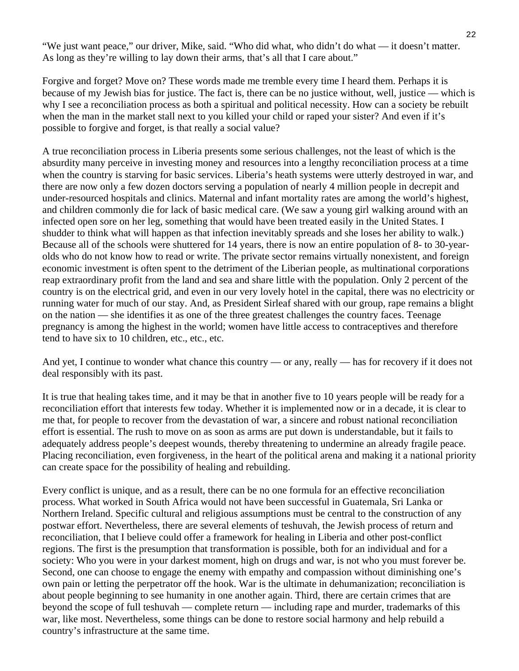"We just want peace," our driver, Mike, said. "Who did what, who didn't do what — it doesn't matter. As long as they're willing to lay down their arms, that's all that I care about."

Forgive and forget? Move on? These words made me tremble every time I heard them. Perhaps it is because of my Jewish bias for justice. The fact is, there can be no justice without, well, justice — which is why I see a reconciliation process as both a spiritual and political necessity. How can a society be rebuilt when the man in the market stall next to you killed your child or raped your sister? And even if it's possible to forgive and forget, is that really a social value?

A true reconciliation process in Liberia presents some serious challenges, not the least of which is the absurdity many perceive in investing money and resources into a lengthy reconciliation process at a time when the country is starving for basic services. Liberia's heath systems were utterly destroyed in war, and there are now only a few dozen doctors serving a population of nearly 4 million people in decrepit and under-resourced hospitals and clinics. Maternal and infant mortality rates are among the world's highest, and children commonly die for lack of basic medical care. (We saw a young girl walking around with an infected open sore on her leg, something that would have been treated easily in the United States. I shudder to think what will happen as that infection inevitably spreads and she loses her ability to walk.) Because all of the schools were shuttered for 14 years, there is now an entire population of 8- to 30-yearolds who do not know how to read or write. The private sector remains virtually nonexistent, and foreign economic investment is often spent to the detriment of the Liberian people, as multinational corporations reap extraordinary profit from the land and sea and share little with the population. Only 2 percent of the country is on the electrical grid, and even in our very lovely hotel in the capital, there was no electricity or running water for much of our stay. And, as President Sirleaf shared with our group, rape remains a blight on the nation — she identifies it as one of the three greatest challenges the country faces. Teenage pregnancy is among the highest in the world; women have little access to contraceptives and therefore tend to have six to 10 children, etc., etc., etc.

And yet, I continue to wonder what chance this country — or any, really — has for recovery if it does not deal responsibly with its past.

It is true that healing takes time, and it may be that in another five to 10 years people will be ready for a reconciliation effort that interests few today. Whether it is implemented now or in a decade, it is clear to me that, for people to recover from the devastation of war, a sincere and robust national reconciliation effort is essential. The rush to move on as soon as arms are put down is understandable, but it fails to adequately address people's deepest wounds, thereby threatening to undermine an already fragile peace. Placing reconciliation, even forgiveness, in the heart of the political arena and making it a national priority can create space for the possibility of healing and rebuilding.

Every conflict is unique, and as a result, there can be no one formula for an effective reconciliation process. What worked in South Africa would not have been successful in Guatemala, Sri Lanka or Northern Ireland. Specific cultural and religious assumptions must be central to the construction of any postwar effort. Nevertheless, there are several elements of teshuvah, the Jewish process of return and reconciliation, that I believe could offer a framework for healing in Liberia and other post-conflict regions. The first is the presumption that transformation is possible, both for an individual and for a society: Who you were in your darkest moment, high on drugs and war, is not who you must forever be. Second, one can choose to engage the enemy with empathy and compassion without diminishing one's own pain or letting the perpetrator off the hook. War is the ultimate in dehumanization; reconciliation is about people beginning to see humanity in one another again. Third, there are certain crimes that are beyond the scope of full teshuvah — complete return — including rape and murder, trademarks of this war, like most. Nevertheless, some things can be done to restore social harmony and help rebuild a country's infrastructure at the same time.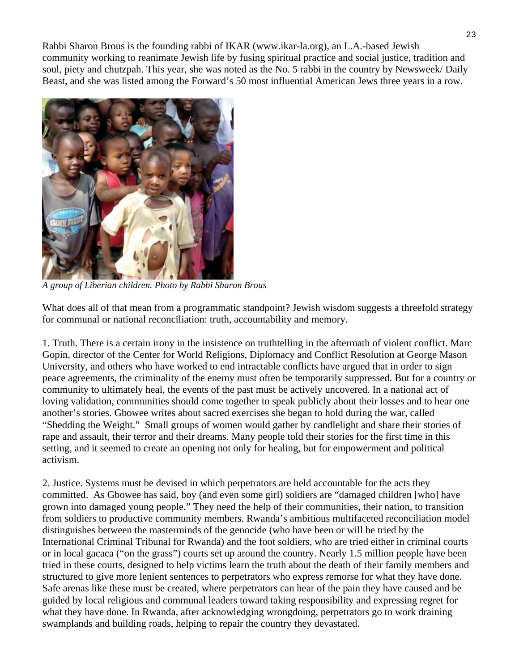Rabbi Sharon Brous is the founding rabbi of IKAR (www.ikar-la.org), an L.A.-based Jewish community working to reanimate Jewish life by fusing spiritual practice and social justice, tradition and soul, piety and chutzpah. This year, she was noted as the No. 5 rabbi in the country by Newsweek/ Daily Beast, and she was listed among the Forward's 50 most influential American Jews three years in a row.



*A group of Liberian children. Photo by Rabbi Sharon Brous* 

What does all of that mean from a programmatic standpoint? Jewish wisdom suggests a threefold strategy for communal or national reconciliation: truth, accountability and memory.

1. Truth. There is a certain irony in the insistence on truthtelling in the aftermath of violent conflict. Marc Gopin, director of the Center for World Religions, Diplomacy and Conflict Resolution at George Mason University, and others who have worked to end intractable conflicts have argued that in order to sign peace agreements, the criminality of the enemy must often be temporarily suppressed. But for a country or community to ultimately heal, the events of the past must be actively uncovered. In a national act of loving validation, communities should come together to speak publicly about their losses and to hear one another's stories. Gbowee writes about sacred exercises she began to hold during the war, called "Shedding the Weight." Small groups of women would gather by candlelight and share their stories of rape and assault, their terror and their dreams. Many people told their stories for the first time in this setting, and it seemed to create an opening not only for healing, but for empowerment and political activism.

2. Justice. Systems must be devised in which perpetrators are held accountable for the acts they committed. As Gbowee has said, boy (and even some girl) soldiers are "damaged children [who] have grown into damaged young people." They need the help of their communities, their nation, to transition from soldiers to productive community members. Rwanda's ambitious multifaceted reconciliation model distinguishes between the masterminds of the genocide (who have been or will be tried by the International Criminal Tribunal for Rwanda) and the foot soldiers, who are tried either in criminal courts or in local gacaca ("on the grass") courts set up around the country. Nearly 1.5 million people have been tried in these courts, designed to help victims learn the truth about the death of their family members and structured to give more lenient sentences to perpetrators who express remorse for what they have done. Safe arenas like these must be created, where perpetrators can hear of the pain they have caused and be guided by local religious and communal leaders toward taking responsibility and expressing regret for what they have done. In Rwanda, after acknowledging wrongdoing, perpetrators go to work draining swamplands and building roads, helping to repair the country they devastated.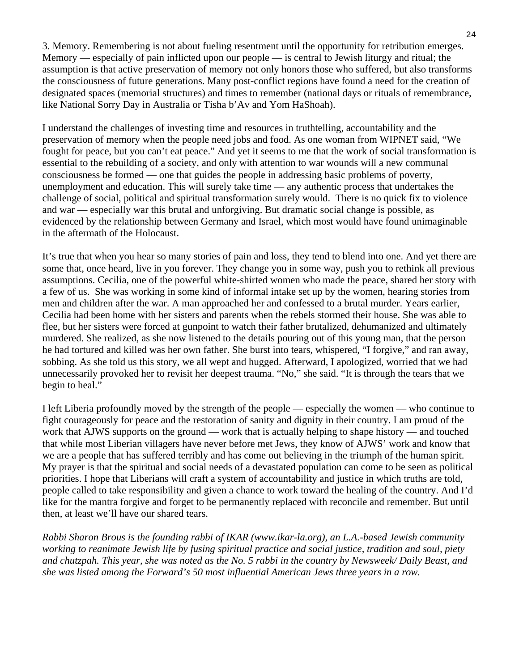3. Memory. Remembering is not about fueling resentment until the opportunity for retribution emerges. Memory — especially of pain inflicted upon our people — is central to Jewish liturgy and ritual; the assumption is that active preservation of memory not only honors those who suffered, but also transforms the consciousness of future generations. Many post-conflict regions have found a need for the creation of designated spaces (memorial structures) and times to remember (national days or rituals of remembrance, like National Sorry Day in Australia or Tisha b'Av and Yom HaShoah).

I understand the challenges of investing time and resources in truthtelling, accountability and the preservation of memory when the people need jobs and food. As one woman from WIPNET said, "We fought for peace, but you can't eat peace." And yet it seems to me that the work of social transformation is essential to the rebuilding of a society, and only with attention to war wounds will a new communal consciousness be formed — one that guides the people in addressing basic problems of poverty, unemployment and education. This will surely take time — any authentic process that undertakes the challenge of social, political and spiritual transformation surely would. There is no quick fix to violence and war — especially war this brutal and unforgiving. But dramatic social change is possible, as evidenced by the relationship between Germany and Israel, which most would have found unimaginable in the aftermath of the Holocaust.

It's true that when you hear so many stories of pain and loss, they tend to blend into one. And yet there are some that, once heard, live in you forever. They change you in some way, push you to rethink all previous assumptions. Cecilia, one of the powerful white-shirted women who made the peace, shared her story with a few of us. She was working in some kind of informal intake set up by the women, hearing stories from men and children after the war. A man approached her and confessed to a brutal murder. Years earlier, Cecilia had been home with her sisters and parents when the rebels stormed their house. She was able to flee, but her sisters were forced at gunpoint to watch their father brutalized, dehumanized and ultimately murdered. She realized, as she now listened to the details pouring out of this young man, that the person he had tortured and killed was her own father. She burst into tears, whispered, "I forgive," and ran away, sobbing. As she told us this story, we all wept and hugged. Afterward, I apologized, worried that we had unnecessarily provoked her to revisit her deepest trauma. "No," she said. "It is through the tears that we begin to heal."

I left Liberia profoundly moved by the strength of the people — especially the women — who continue to fight courageously for peace and the restoration of sanity and dignity in their country. I am proud of the work that AJWS supports on the ground — work that is actually helping to shape history — and touched that while most Liberian villagers have never before met Jews, they know of AJWS' work and know that we are a people that has suffered terribly and has come out believing in the triumph of the human spirit. My prayer is that the spiritual and social needs of a devastated population can come to be seen as political priorities. I hope that Liberians will craft a system of accountability and justice in which truths are told, people called to take responsibility and given a chance to work toward the healing of the country. And I'd like for the mantra forgive and forget to be permanently replaced with reconcile and remember. But until then, at least we'll have our shared tears.

*Rabbi Sharon Brous is the founding rabbi of IKAR (www.ikar-la.org), an L.A.-based Jewish community working to reanimate Jewish life by fusing spiritual practice and social justice, tradition and soul, piety and chutzpah. This year, she was noted as the No. 5 rabbi in the country by Newsweek/ Daily Beast, and she was listed among the Forward's 50 most influential American Jews three years in a row.*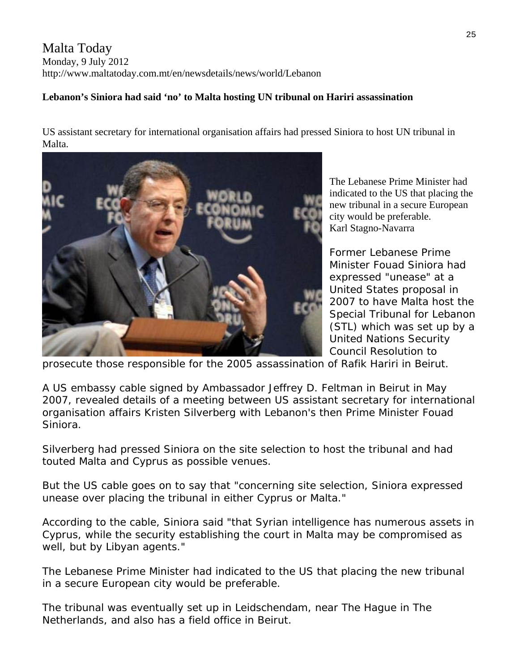### Malta Today Monday, 9 July 2012 http://www.maltatoday.com.mt/en/newsdetails/news/world/Lebanon

#### **Lebanon's Siniora had said 'no' to Malta hosting UN tribunal on Hariri assassination**

US assistant secretary for international organisation affairs had pressed Siniora to host UN tribunal in Malta.



The Lebanese Prime Minister had indicated to the US that placing the new tribunal in a secure European city would be preferable. Karl Stagno-Navarra

Special Tribunal for Lebanon (STL) which was set up by a Former Lebanese Prime Minister Fouad Siniora had expressed "unease" at a United States proposal in 2007 to have Malta host the United Nations Security Council Resolution to

prosecute those responsible for the 2005 assassination of Rafik Hariri in Beirut.

A US embassy cable signed by Ambassador Jeffrey D. Feltman in Beirut in May 2007, revealed details of a meeting between US assistant secretary for international organisation affairs Kristen Silverberg with Lebanon's then Prime Minister Fouad Siniora.

Silverberg had pressed Siniora on the site selection to host the tribunal and had touted Malta and Cyprus as possible venues.

But the US cable goes on to say that "concerning site selection, Siniora expressed unease over placing the tribunal in either Cyprus or Malta."

According to the cable, Siniora said "that Syrian intelligence has numerous assets in Cyprus, while the security establishing the court in Malta may be compromised as well, but by Libyan agents."

The Lebanese Prime Minister had indicated to the US that placing the new tribunal in a secure European city would be preferable.

The tribunal was eventually set up in Leidschendam, near The Hague in The Netherlands, and also has a field office in Beirut.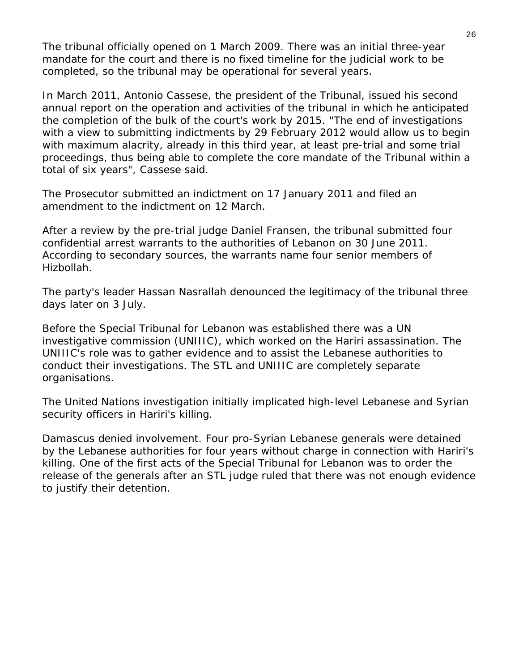The tribunal officially opened on 1 March 2009. There was an initial three-year mandate for the court and there is no fixed timeline for the judicial work to be completed, so the tribunal may be operational for several years.

In March 2011, Antonio Cassese, the president of the Tribunal, issued his second annual report on the operation and activities of the tribunal in which he anticipated the completion of the bulk of the court's work by 2015. "The end of investigations with a view to submitting indictments by 29 February 2012 would allow us to begin with maximum alacrity, already in this third year, at least pre-trial and some trial proceedings, thus being able to complete the core mandate of the Tribunal within a total of six years", Cassese said.

The Prosecutor submitted an indictment on 17 January 2011 and filed an amendment to the indictment on 12 March.

After a review by the pre-trial judge Daniel Fransen, the tribunal submitted four confidential arrest warrants to the authorities of Lebanon on 30 June 2011. According to secondary sources, the warrants name four senior members of Hizbollah.

The party's leader Hassan Nasrallah denounced the legitimacy of the tribunal three days later on 3 July.

Before the Special Tribunal for Lebanon was established there was a UN investigative commission (UNIIIC), which worked on the Hariri assassination. The UNIIIC's role was to gather evidence and to assist the Lebanese authorities to conduct their investigations. The STL and UNIIIC are completely separate organisations.

The United Nations investigation initially implicated high-level Lebanese and Syrian security officers in Hariri's killing.

Damascus denied involvement. Four pro-Syrian Lebanese generals were detained by the Lebanese authorities for four years without charge in connection with Hariri's killing. One of the first acts of the Special Tribunal for Lebanon was to order the release of the generals after an STL judge ruled that there was not enough evidence to justify their detention.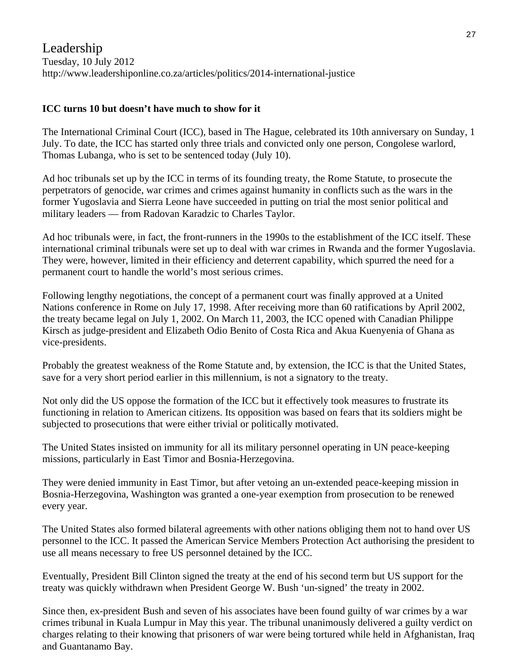#### **ICC turns 10 but doesn't have much to show for it**

The International Criminal Court (ICC), based in The Hague, celebrated its 10th anniversary on Sunday, 1 July. To date, the ICC has started only three trials and convicted only one person, Congolese warlord, Thomas Lubanga, who is set to be sentenced today (July 10).

Ad hoc tribunals set up by the ICC in terms of its founding treaty, the Rome Statute, to prosecute the perpetrators of genocide, war crimes and crimes against humanity in conflicts such as the wars in the former Yugoslavia and Sierra Leone have succeeded in putting on trial the most senior political and military leaders — from Radovan Karadzic to Charles Taylor.

Ad hoc tribunals were, in fact, the front-runners in the 1990s to the establishment of the ICC itself. These international criminal tribunals were set up to deal with war crimes in Rwanda and the former Yugoslavia. They were, however, limited in their efficiency and deterrent capability, which spurred the need for a permanent court to handle the world's most serious crimes.

Following lengthy negotiations, the concept of a permanent court was finally approved at a United Nations conference in Rome on July 17, 1998. After receiving more than 60 ratifications by April 2002, the treaty became legal on July 1, 2002. On March 11, 2003, the ICC opened with Canadian Philippe Kirsch as judge-president and Elizabeth Odio Benito of Costa Rica and Akua Kuenyenia of Ghana as vice-presidents.

Probably the greatest weakness of the Rome Statute and, by extension, the ICC is that the United States, save for a very short period earlier in this millennium, is not a signatory to the treaty.

Not only did the US oppose the formation of the ICC but it effectively took measures to frustrate its functioning in relation to American citizens. Its opposition was based on fears that its soldiers might be subjected to prosecutions that were either trivial or politically motivated.

The United States insisted on immunity for all its military personnel operating in UN peace-keeping missions, particularly in East Timor and Bosnia-Herzegovina.

They were denied immunity in East Timor, but after vetoing an un-extended peace-keeping mission in Bosnia-Herzegovina, Washington was granted a one-year exemption from prosecution to be renewed every year.

The United States also formed bilateral agreements with other nations obliging them not to hand over US personnel to the ICC. It passed the American Service Members Protection Act authorising the president to use all means necessary to free US personnel detained by the ICC.

Eventually, President Bill Clinton signed the treaty at the end of his second term but US support for the treaty was quickly withdrawn when President George W. Bush 'un-signed' the treaty in 2002.

Since then, ex-president Bush and seven of his associates have been found guilty of war crimes by a war crimes tribunal in Kuala Lumpur in May this year. The tribunal unanimously delivered a guilty verdict on charges relating to their knowing that prisoners of war were being tortured while held in Afghanistan, Iraq and Guantanamo Bay.